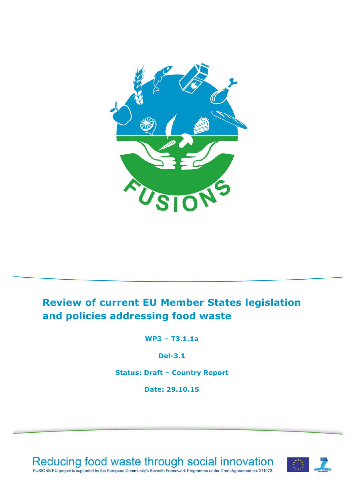

# **Review of current EU Member States legislation and policies addressing food waste**

**WP3 – T3.1.1a**

**Del-3.1**

**Status: Draft – Country Report**

**Date: 29.10.15**



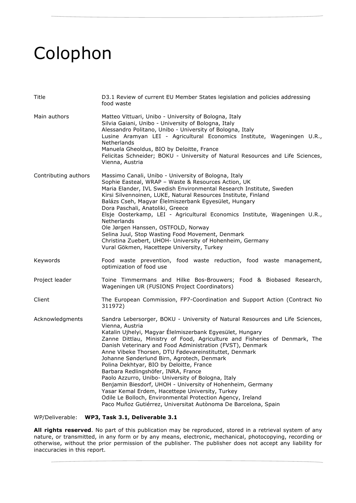# Colophon

| Title                | D3.1 Review of current EU Member States legislation and policies addressing<br>food waste                                                                                                                                                                                                                                                                                                                                                                                                                                                                                                                                                                                                                                                                                                                 |  |  |  |  |
|----------------------|-----------------------------------------------------------------------------------------------------------------------------------------------------------------------------------------------------------------------------------------------------------------------------------------------------------------------------------------------------------------------------------------------------------------------------------------------------------------------------------------------------------------------------------------------------------------------------------------------------------------------------------------------------------------------------------------------------------------------------------------------------------------------------------------------------------|--|--|--|--|
| Main authors         | Matteo Vittuari, Unibo - University of Bologna, Italy<br>Silvia Gaiani, Unibo - University of Bologna, Italy<br>Alessandro Politano, Unibo - University of Bologna, Italy<br>Lusine Aramyan LEI - Agricultural Economics Institute, Wageningen U.R.,<br>Netherlands<br>Manuela Gheoldus, BIO by Deloitte, France<br>Felicitas Schneider; BOKU - University of Natural Resources and Life Sciences,<br>Vienna, Austria                                                                                                                                                                                                                                                                                                                                                                                     |  |  |  |  |
| Contributing authors | Massimo Canali, Unibo - University of Bologna, Italy<br>Sophie Easteal, WRAP - Waste & Resources Action, UK<br>Maria Elander, IVL Swedish Environmental Research Institute, Sweden<br>Kirsi Silvennoinen, LUKE, Natural Resources Institute, Finland<br>Balázs Cseh, Magyar Élelmiszerbank Egyesület, Hungary<br>Dora Paschali, Anatoliki, Greece<br>Elsje Oosterkamp, LEI - Agricultural Economics Institute, Wageningen U.R.,<br><b>Netherlands</b><br>Ole Jørgen Hanssen, OSTFOLD, Norway<br>Selina Juul, Stop Wasting Food Movement, Denmark<br>Christina Zuebert, UHOH- University of Hohenheim, Germany<br>Vural Gökmen, Hacettepe University, Turkey                                                                                                                                               |  |  |  |  |
| Keywords             | Food waste prevention, food waste reduction, food waste management,<br>optimization of food use                                                                                                                                                                                                                                                                                                                                                                                                                                                                                                                                                                                                                                                                                                           |  |  |  |  |
| Project leader       | Toine Timmermans and Hilke Bos-Brouwers; Food & Biobased Research,<br>Wageningen UR (FUSIONS Project Coordinators)                                                                                                                                                                                                                                                                                                                                                                                                                                                                                                                                                                                                                                                                                        |  |  |  |  |
| Client               | The European Commission, FP7-Coordination and Support Action (Contract No<br>311972)                                                                                                                                                                                                                                                                                                                                                                                                                                                                                                                                                                                                                                                                                                                      |  |  |  |  |
| Acknowledgments      | Sandra Lebersorger, BOKU - University of Natural Resources and Life Sciences,<br>Vienna, Austria<br>Katalin Ujhelyi, Magyar Élelmiszerbank Egyesület, Hungary<br>Zanne Dittlau, Ministry of Food, Agriculture and Fisheries of Denmark, The<br>Danish Veterinary and Food Administration (FVST), Denmark<br>Anne Vibeke Thorsen, DTU Fødevareinstituttet, Denmark<br>Johanne Sønderlund Birn, Agrotech, Denmark<br>Polina Dekhtyar, BIO by Deloitte, France<br>Barbara Redlingshöfer, INRA, France<br>Paolo Azzurro, Unibo- University of Bologna, Italy<br>Benjamin Biesdorf, UHOH - University of Hohenheim, Germany<br>Yasar Kemal Erdem, Hacettepe University, Turkey<br>Odile Le Bolloch, Environmental Protection Agency, Ireland<br>Paco Muñoz Gutiérrez, Universitat Autònoma De Barcelona, Spain |  |  |  |  |

WP/Deliverable: **WP3, Task 3.1, Deliverable 3.1**

**All rights reserved**. No part of this publication may be reproduced, stored in a retrieval system of any nature, or transmitted, in any form or by any means, electronic, mechanical, photocopying, recording or otherwise, without the prior permission of the publisher. The publisher does not accept any liability for inaccuracies in this report.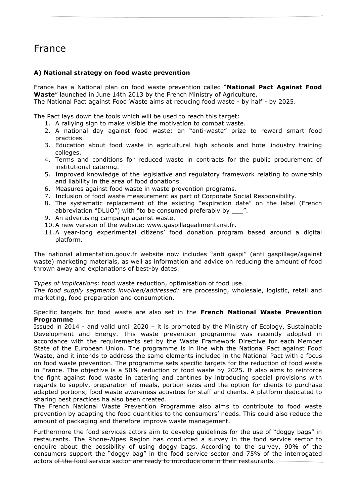# France

# **A) National strategy on food waste prevention**

France has a National plan on food waste prevention called "**National Pact Against Food Waste**" launched in June 14th 2013 by the French Ministry of Agriculture.

The National Pact against Food Waste aims at reducing food waste - by half - by 2025.

The Pact lays down the tools which will be used to reach this target:

- 1. A rallying sign to make visible the motivation to combat waste.
- 2. A national day against food waste; an "anti-waste" prize to reward smart food practices.
- 3. Education about food waste in agricultural high schools and hotel industry training colleges.
- 4. Terms and conditions for reduced waste in contracts for the public procurement of institutional catering.
- 5. Improved knowledge of the legislative and regulatory framework relating to ownership and liability in the area of food donations.
- 6. Measures against food waste in waste prevention programs.
- 7. Inclusion of food waste measurement as part of Corporate Social Responsibility.
- 8. The systematic replacement of the existing "expiration date" on the label (French abbreviation "DLUO") with "to be consumed preferably by \_\_\_".
- 9. An advertising campaign against waste.
- 10.A new version of the website: www.gaspillagealimentaire.fr.
- 11.A year-long experimental citizens' food donation program based around a digital platform.

The national alimentation.gouv.fr website now includes "anti gaspi" (anti gaspillage/against waste) marketing materials, as well as information and advice on reducing the amount of food thrown away and explanations of best-by dates.

*Types of implications:* food waste reduction, optimisation of food use.

*The food supply segments involved/addressed:* are processing, wholesale, logistic, retail and marketing, food preparation and consumption.

#### Specific targets for food waste are also set in the **French National Waste Prevention Programme**

Issued in 2014 - and valid until 2020 – it is promoted by the Ministry of Ecology, Sustainable Development and Energy. This waste prevention programme was recently adopted in accordance with the requirements set by the Waste Framework Directive for each Member State of the European Union. The programme is in line with the National Pact against Food Waste, and it intends to address the same elements included in the National Pact with a focus on food waste prevention. The programme sets specific targets for the reduction of food waste in France. The objective is a 50% reduction of food waste by 2025. It also aims to reinforce the fight against food waste in catering and cantines by introducing special provisions with regards to supply, preparation of meals, portion sizes and the option for clients to purchase adapted portions, food waste awareness activities for staff and clients. A platform dedicated to sharing best practices ha also been created.

The French National Waste Prevention Programme also aims to contribute to food waste prevention by adapting the food quantities to the consumers' needs. This could also reduce the amount of packaging and therefore improve waste management.

Furthermore the food services actors aim to develop guidelines for the use of "doggy bags" in restaurants. The Rhone-Alpes Region has conducted a survey in the food service sector to enquire about the possibility of using doggy bags. According to the survey, 90% of the consumers support the "doggy bag" in the food service sector and 75% of the interrogated actors of the food service sector are ready to introduce one in their restaurants.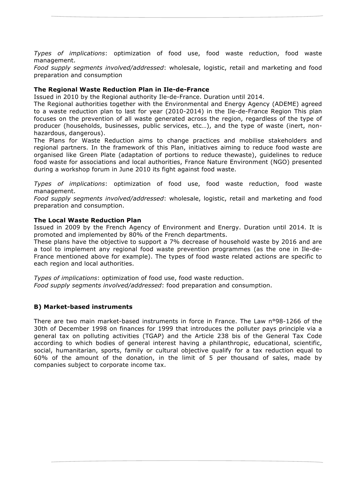*Types of implications*: optimization of food use, food waste reduction, food waste management.

*Food supply segments involved/addressed*: wholesale, logistic, retail and marketing and food preparation and consumption

# **The Regional Waste Reduction Plan in Ile-de-France**

Issued in 2010 by the Regional authority Ile-de-France. Duration until 2014.

The Regional authorities together with the Environmental and Energy Agency (ADEME) agreed to a waste reduction plan to last for year (2010-2014) in the Ile-de-France Region This plan focuses on the prevention of all waste generated across the region, regardless of the type of producer (households, businesses, public services, etc…), and the type of waste (inert, nonhazardous, dangerous).

The Plans for Waste Reduction aims to change practices and mobilise stakeholders and regional partners. In the framework of this Plan, initiatives aiming to reduce food waste are organised like Green Plate (adaptation of portions to reduce thewaste), guidelines to reduce food waste for associations and local authorities, France Nature Environment (NGO) presented during a workshop forum in June 2010 its fight against food waste.

*Types of implications*: optimization of food use, food waste reduction, food waste management.

*Food supply segments involved/addressed*: wholesale, logistic, retail and marketing and food preparation and consumption.

## **The Local Waste Reduction Plan**

Issued in 2009 by the French Agency of Environment and Energy. Duration until 2014. It is promoted and implemented by 80% of the French departments.

These plans have the objective to support a 7% decrease of household waste by 2016 and are a tool to implement any regional food waste prevention programmes (as the one in Ile-de-France mentioned above for example). The types of food waste related actions are specific to each region and local authorities.

*Types of implications*: optimization of food use, food waste reduction. *Food supply segments involved/addressed*: food preparation and consumption.

## **B) Market-based instruments**

There are two main market-based instruments in force in France. The Law n°98-1266 of the 30th of December 1998 on finances for 1999 that introduces the polluter pays principle via a general tax on polluting activities (TGAP) and the Article 238 bis of the General Tax Code according to which bodies of general interest having a philanthropic, educational, scientific, social, humanitarian, sports, family or cultural objective qualify for a tax reduction equal to 60% of the amount of the donation, in the limit of 5 per thousand of sales, made by companies subject to corporate income tax.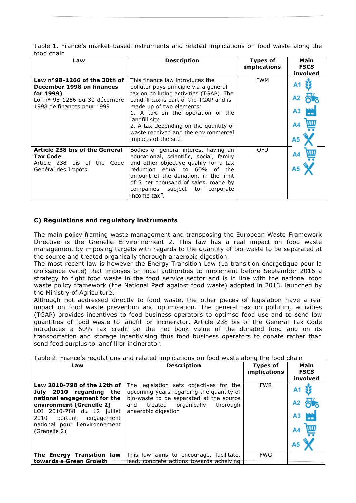| Table 1. France's market-based instruments and related implications on food waste along the |  |  |  |  |  |
|---------------------------------------------------------------------------------------------|--|--|--|--|--|
| food chain                                                                                  |  |  |  |  |  |

| Law                                                                                                                                   | <b>Description</b>                                                                                                                                                                                                                                                                                                                                      | <b>Types of</b><br><i>implications</i> | Main<br><b>FSCS</b><br>involved |  |
|---------------------------------------------------------------------------------------------------------------------------------------|---------------------------------------------------------------------------------------------------------------------------------------------------------------------------------------------------------------------------------------------------------------------------------------------------------------------------------------------------------|----------------------------------------|---------------------------------|--|
| Law n°98-1266 of the 30th of<br>December 1998 on finances<br>for 1999)<br>Loi nº 98-1266 du 30 décembre<br>1998 de finances pour 1999 | This finance law introduces the<br>polluter pays principle via a general<br>tax on polluting activities (TGAP). The<br>Landfill tax is part of the TGAP and is<br>made up of two elements:<br>1. A tax on the operation of the<br>landfill site<br>2. A tax depending on the quantity of<br>waste received and the environmental<br>impacts of the site | <b>FWM</b>                             | Α5                              |  |
| Article 238 bis of the General<br><b>Tax Code</b><br>Article 238 bis of the Code<br>Général des Impôts                                | Bodies of general interest having an<br>educational, scientific, social, family<br>and other objective qualify for a tax<br>reduction equal to 60% of the<br>amount of the donation, in the limit<br>of 5 per thousand of sales, made by<br>companies subject to corporate<br>income tax".                                                              | OFU                                    |                                 |  |

# **C) Regulations and regulatory instruments**

The main policy framing waste management and transposing the European Waste Framework Directive is the Grenelle Environnement 2. This law has a real impact on food waste management by imposing targets with regards to the quantity of bio-waste to be separated at the source and treated organically thorough anaerobic digestion.

The most recent law is however the Energy Transition Law (La transition énergétique pour la croissance verte) that imposes on local authorities to implement before September 2016 a strategy to fight food waste in the food service sector and is in line with the national food waste policy framework (the National Pact against food waste) adopted in 2013, launched by the Ministry of Agriculture.

Although not addressed directly to food waste, the other pieces of legislation have a real impact on food waste prevention and optimisation. The general tax on polluting activities (TGAP) provides incentives to food business operators to optimse food use and to send low quantities of food waste to landfill or incinerator. Article 238 bis of the General Tax Code introduces a 60% tax credit on the net book value of the donated food and on its transportation and storage incentivising thus food business operators to donate rather than send food surplus to landfill or incinerator.

| Law                                                                                                                                                                                                                                  | <b>Description</b>                                                                                                                                                                                 | <b>Types of</b><br>implications | Main<br><b>FSCS</b> |
|--------------------------------------------------------------------------------------------------------------------------------------------------------------------------------------------------------------------------------------|----------------------------------------------------------------------------------------------------------------------------------------------------------------------------------------------------|---------------------------------|---------------------|
| Law 2010-798 of the 12th of<br>July<br>2010 regarding the<br>national engagement for the<br>environment (Grenelle 2)<br>LOI 2010-788 du 12 juillet<br>2010<br>portant<br>engagement<br>national pour l'environnement<br>(Grenelle 2) | The legislation sets objectives for the<br>upcoming years regarding the quantity of<br>bio-waste to be separated at the source<br>organically<br>thorough<br>treated<br>and<br>anaerobic digestion | <b>FWR</b>                      | involved            |
| The Energy Transition law                                                                                                                                                                                                            | This law aims to encourage, facilitate,                                                                                                                                                            | <b>FWG</b>                      |                     |
| towards a Green Growth                                                                                                                                                                                                               | lead, concrete actions towards acheiving                                                                                                                                                           |                                 |                     |

Table 2. France's regulations and related implications on food waste along the food chain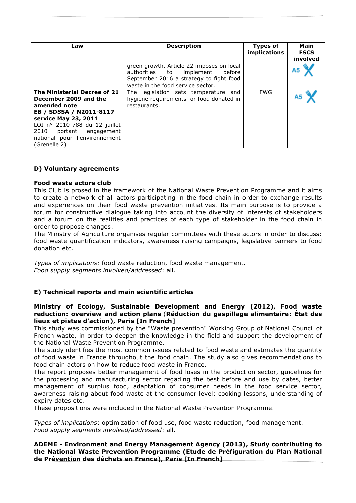| Law                                                                                                                                                                                                                                   | <b>Description</b>                                                                                                                                           | <b>Types of</b><br>implications | Main<br><b>FSCS</b><br>involved |
|---------------------------------------------------------------------------------------------------------------------------------------------------------------------------------------------------------------------------------------|--------------------------------------------------------------------------------------------------------------------------------------------------------------|---------------------------------|---------------------------------|
|                                                                                                                                                                                                                                       | green growth. Article 22 imposes on local<br>authorities to implement before<br>September 2016 a strategy to fight food<br>waste in the food service sector. |                                 |                                 |
| The Ministerial Decree of 21<br>December 2009 and the<br>amended note<br>EB / SDSSA / N2011-8117<br>service May 23, 2011<br>LOI nº 2010-788 du 12 juillet<br>2010 portant engagement<br>national pour l'environnement<br>(Grenelle 2) | The legislation sets temperature and<br>hygiene requirements for food donated in<br>restaurants.                                                             | <b>FWG</b>                      | А5                              |

## **D) Voluntary agreements**

## **Food waste actors club**

This Club is prosed in the framework of the National Waste Prevention Programme and it aims to create a network of all actors participating in the food chain in order to exchange results and experiences on their food waste prevention initiatives. Its main purpose is to provide a forum for constructive dialogue taking into account the diversity of interests of stakeholders and a forum on the realities and practices of each type of stakeholder in the food chain in order to propose changes.

The Ministry of Agriculture organises regular committees with these actors in order to discuss: food waste quantification indicators, awareness raising campaigns, legislative barriers to food donation etc.

*Types of implications:* food waste reduction, food waste management. *Food supply segments involved/addressed*: all.

# **E) Technical reports and main scientific articles**

#### **Ministry of Ecology, Sustainable Development and Energy (2012), Food waste reduction: overview and action plans** (**Réduction du gaspillage alimentaire: État des lieux et pistes d'action), Paris [In French]**

This study was commissioned by the "Waste prevention" Working Group of National Council of French waste, in order to deepen the knowledge in the field and support the development of the National Waste Prevention Programme.

The study identifies the most common issues related to food waste and estimates the quantity of food waste in France throughout the food chain. The study also gives recommendations to food chain actors on how to reduce food waste in France.

The report proposes better management of food loses in the production sector, guidelines for the processing and manufacturing sector regading the best before and use by dates, better management of surplus food, adaptation of consumer needs in the food service sector, awareness raising about food waste at the consumer level: cooking lessons, understanding of expiry dates etc.

These propositions were included in the National Waste Prevention Programme.

*Types of implications*: optimization of food use, food waste reduction, food management. *Food supply segments involved/addressed*: all.

**ADEME - Environment and Energy Management Agency (2013), Study contributing to the National Waste Prevention Programme (Etude de Préfiguration du Plan National de Prévention des déchets en France), Paris [In French]**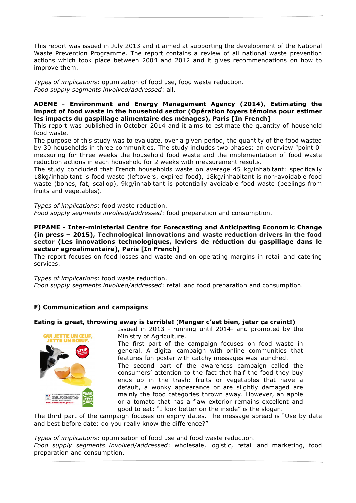This report was issued in July 2013 and it aimed at supporting the development of the National Waste Prevention Programme. The report contains a review of all national waste prevention actions which took place between 2004 and 2012 and it gives recommendations on how to improve them.

*Types of implications*: optimization of food use, food waste reduction. *Food supply segments involved/addressed*: all.

# **ADEME - Environment and Energy Management Agency (2014), Estimating the impact of food waste in the household sector (Opération foyers témoins pour estimer les impacts du gaspillage alimentaire des ménages), Paris [In French]**

This report was published in October 2014 and it aims to estimate the quantity of household food waste.

The purpose of this study was to evaluate, over a given period, the quantity of the food wasted by 30 households in three communities. The study includes two phases: an overview "point 0" measuring for three weeks the household food waste and the implementation of food waste reduction actions in each household for 2 weeks with measurement results.

The study concluded that French households waste on average 45 kg/inhabitant: specifically 18kg/inhabitant is food waste (leftovers, expired food), 18kg/inhabitant is non-avoidable food waste (bones, fat, scallop), 9kg/inhabitant is potentially avoidable food waste (peelings from fruits and vegetables).

*Types of implications*: food waste reduction. *Food supply segments involved/addressed*: food preparation and consumption.

**PIPAME - Inter-ministerial Centre for Forecasting and Anticipating Economic Change (in press – 2015), Technological innovations and waste reduction drivers in the food sector (Les innovations technologiques, leviers de réduction du gaspillage dans le secteur agroalimentaire), Paris [In French]**

The report focuses on food losses and waste and on operating margins in retail and catering services.

*Types of implications*: food waste reduction.

*Food supply segments involved/addressed*: retail and food preparation and consumption.

# **F) Communication and campaigns**

## **Eating is great, throwing away is terrible!** (**Manger c'est bien, jeter ça craint!)**



Issued in 2013 - running until 2014- and promoted by the Ministry of Agriculture.

The first part of the campaign focuses on food waste in general. A digital campaign with online communities that features fun poster with catchy messages was launched.

The second part of the awareness campaign called the consumers' attention to the fact that half the food they buy ends up in the trash: fruits or vegetables that have a default, a wonky appearance or are slightly damaged are mainly the food categories thrown away. However, an apple or a tomato that has a flaw exterior remains excellent and good to eat: "I look better on the inside" is the slogan.

The third part of the campaign focuses on expiry dates. The message spread is "Use by date and best before date: do you really know the difference?"

*Types of implications*: optimisation of food use and food waste reduction. *Food supply segments involved/addressed*: wholesale, logistic, retail and marketing, food preparation and consumption.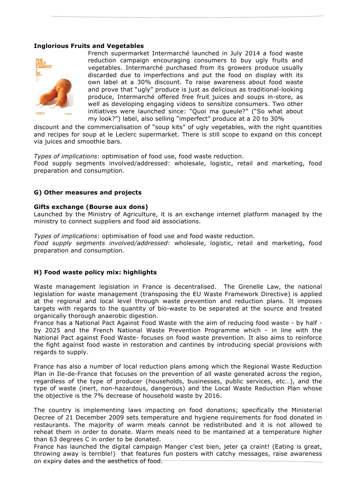## **Inglorious Fruits and Vegetables**



French supermarket Intermarché launched in July 2014 a food waste reduction campaign encouraging consumers to buy ugly fruits and vegetables. Intermarché purchased from its growers produce usually discarded due to imperfections and put the food on display with its own label at a 30% discount. To raise awareness about food waste and prove that "ugly" produce is just as delicious as traditional-looking produce, Intermarché offered free fruit juices and soups in-store, as well as developing engaging videos to sensitize consumers. Two other initiatives were launched since: "Quoi ma gueule?" ("So what about my look?") label, also selling "imperfect" produce at a 20 to 30%

discount and the commercialisation of "soup kits" of ugly vegetables, with the right quantities and recipes for soup at le Leclerc supermarket. There is still scope to expand on this concept via juices and smoothie bars.

*Types of implications*: optimisation of food use, food waste reduction.

Food supply segments involved/addressed: wholesale, logistic, retail and marketing, food preparation and consumption.

## **G) Other measures and projects**

#### **Gifts exchange (Bourse aux dons)**

Launched by the Ministry of Agriculture, it is an exchange internet platform managed by the ministry to connect suppliers and food aid associations.

*Types of implications*: optimisation of food use and food waste reduction.

*Food supply segments involved/addressed*: wholesale, logistic, retail and marketing, food preparation and consumption.

## **H) Food waste policy mix: highlights**

Waste management legislation in France is decentralised. The Grenelle Law, the national legislation for waste management (transposing the EU Waste Framework Directive) is applied at the regional and local level through waste prevention and reduction plans. It imposes targets with regards to the quantity of bio-waste to be separated at the source and treated organically thorough anaerobic digestion.

France has a National Pact Against Food Waste with the aim of reducing food waste - by half by 2025 and the French National Waste Prevention Programme which - in line with the National Pact against Food Waste- focuses on food waste prevention. It also aims to reinforce the fight against food waste in restoration and cantines by introducing special provisions with regards to supply.

France has also a number of local reduction plans among which the Regional Waste Reduction Plan in Ile-de-France that focuses on the prevention of all waste generated across the region, regardless of the type of producer (households, businesses, public services, etc…), and the type of waste (inert, non-hazardous, dangerous) and the Local Waste Reduction Plan whose the objective is the 7% decrease of household waste by 2016.

The country is implementing laws impacting on food donations; specifically the Ministerial Decree of 21 December 2009 sets temperature and hygiene requirements for food donated in restaurants. The majority of warm meals cannot be redistributed and it is not allowed to reheat them in order to donate. Warm meals need to be mantained at a temperature higher than 63 degrees C in order to be donated.

France has launched the digital campaign Manger c'est bien, jeter ça craint! (Eating is great, throwing away is terrible!) that features fun posters with catchy messages, raise awareness on expiry dates and the aesthetics of food.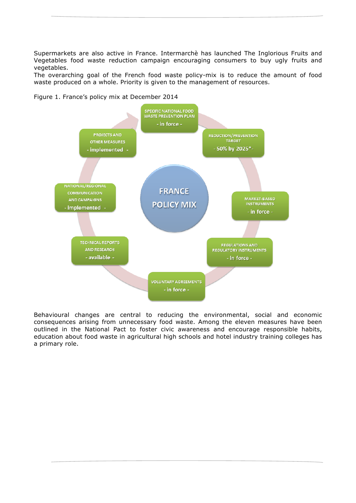Supermarkets are also active in France. Intermarchè has launched The Inglorious Fruits and Vegetables food waste reduction campaign encouraging consumers to buy ugly fruits and vegetables.

The overarching goal of the French food waste policy-mix is to reduce the amount of food waste produced on a whole. Priority is given to the management of resources.

Figure 1. France's policy mix at December 2014



Behavioural changes are central to reducing the environmental, social and economic consequences arising from unnecessary food waste. Among the eleven measures have been outlined in the National Pact to foster civic awareness and encourage responsible habits, education about food waste in agricultural high schools and hotel industry training colleges has a primary role.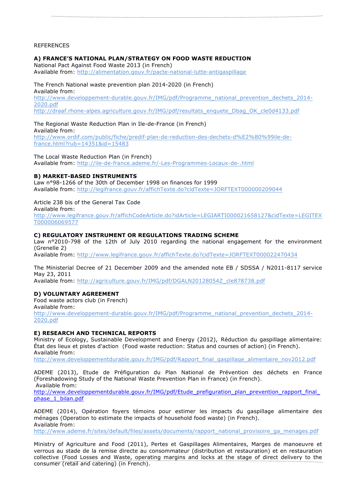#### REFERENCES

#### **A) FRANCE'S NATIONAL PLAN/STRATEGY ON FOOD WASTE REDUCTION**

National Pact Against Food Waste 2013 (in French) Available from: http://alimentation.gouv.fr/pacte-national-lutte-antigaspillage

#### The French National waste prevention plan 2014-2020 (in French)

Available from: http://www.developpement-durable.gouv.fr/IMG/pdf/Programme\_national\_prevention\_dechets\_2014- 2020.pdf

http://draaf.rhone-alpes.agriculture.gouv.fr/IMG/pdf/resultats\_enquete\_Dbag\_OK\_cle0d4133.pdf

#### The Regional Waste Reduction Plan in Ile-de-France (in French)

Available from: http://www.ordif.com/public/fiche/predif-plan-de-reduction-des-dechets-d%E2%80%99ile-defrance.html?rub=14351&id=15483

The Local Waste Reduction Plan (in French)

Available from: http://ile-de-france.ademe.fr/-Les-Programmes-Locaux-de-.html

#### **B) MARKET-BASED INSTRUMENTS**

Law n°98-1266 of the 30th of December 1998 on finances for 1999 Available from: http://legifrance.gouv.fr/affichTexte.do?cidTexte=JORFTEXT000000209044

#### Article 238 bis of the General Tax Code

Available from: http://www.legifrance.gouv.fr/affichCodeArticle.do?idArticle=LEGIARTI000021658127&cidTexte=LEGITEX T000006069577

#### **C) REGULATORY INSTRUMENT OR REGULATIONS TRADING SCHEME**

Law n°2010-798 of the 12th of July 2010 regarding the national engagement for the environment (Grenelle 2)

Available from: http://www.legifrance.gouv.fr/affichTexte.do?cidTexte=JORFTEXT000022470434

The Ministerial Decree of 21 December 2009 and the amended note EB / SDSSA / N2011-8117 service May 23, 2011

Available from: http://agriculture.gouv.fr/IMG/pdf/DGALN20128054Z\_cle878738.pdf

#### **D) VOLUNTARY AGREEMENT**

Food waste actors club (in French)

Available from:

http://www.developpement-durable.gouv.fr/IMG/pdf/Programme\_national\_prevention\_dechets\_2014- 2020.pdf

#### **E) RESEARCH AND TECHNICAL REPORTS**

Ministry of Ecology, Sustainable Development and Energy (2012), Réduction du gaspillage alimentaire: État des lieux et pistes d'action (Food waste reduction: Status and courses of action) (in French). Available from:

http://www.developpementdurable.gouv.fr/IMG/pdf/Rapport\_final\_gaspillage\_alimentaire\_nov2012.pdf

ADEME (2013), Etude de Préfiguration du Plan National de Prévention des déchets en France (Foreshadowing Study of the National Waste Prevention Plan in France) (in French). Available from:

http://www.developpementdurable.gouv.fr/IMG/pdf/Etude\_prefiguration\_plan\_prevention\_rapport\_final\_ phase\_1\_bilan.pdf

ADEME (2014), Opération foyers témoins pour estimer les impacts du gaspillage alimentaire des ménages (Operation to estimate the impacts of household food waste) (in French). Available from:

http://www.ademe.fr/sites/default/files/assets/documents/rapport\_national\_provisoire\_ga\_menages.pdf

Ministry of Agriculture and Food (2011), Pertes et Gaspillages Alimentaires, Marges de manoeuvre et verrous au stade de la remise directe au consommateur (distribution et restauration) et en restauration collective (Food Losses and Waste, operating margins and locks at the stage of direct delivery to the consumer (retail and catering) (in French).